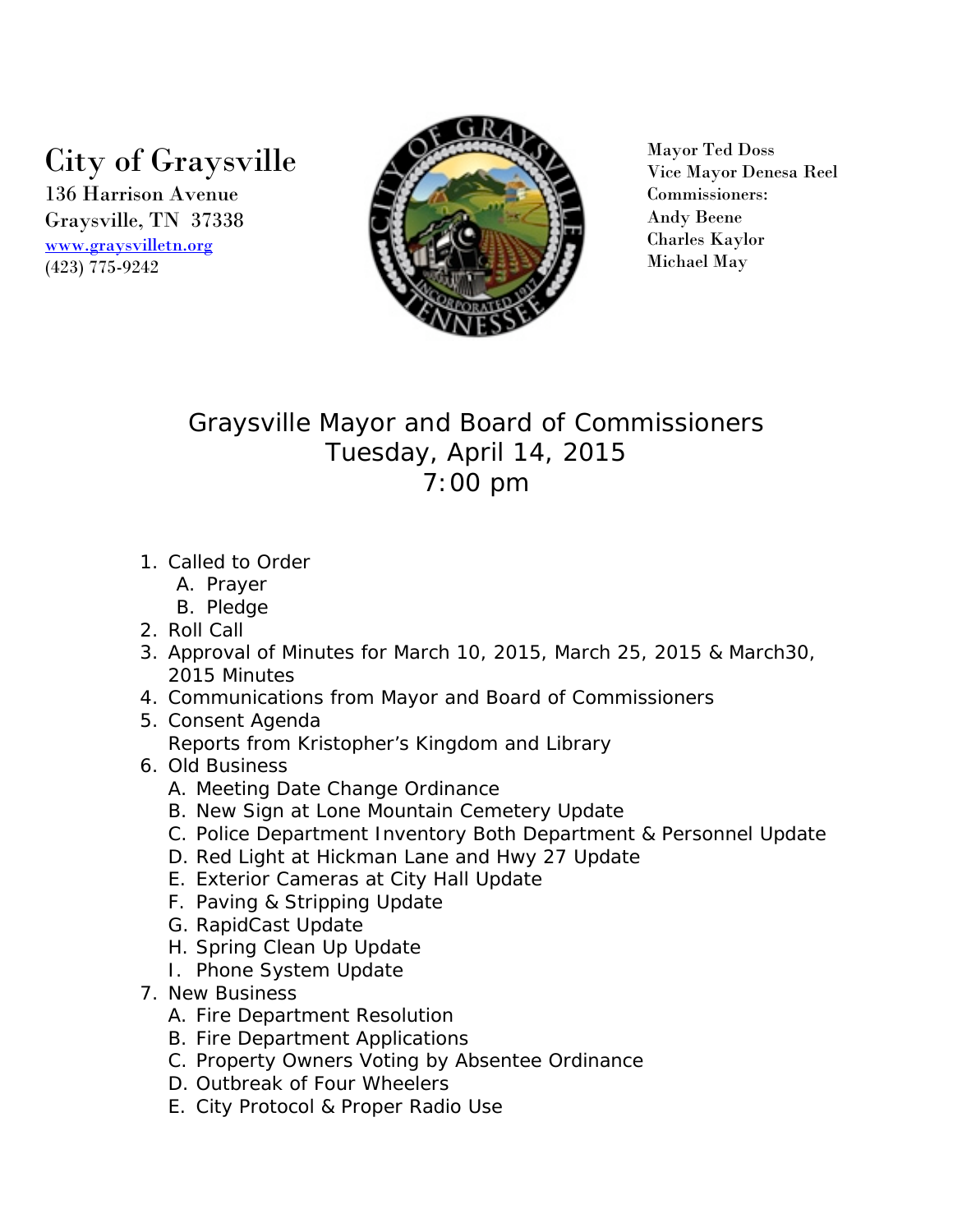## City of Graysville

136 Harrison Avenue Graysville, TN 37338 [www.graysvilletn.org](http://www.graysvilletn.org/) (423) 775-9242



Mayor Ted Doss Vice Mayor Denesa Reel Commissioners: Andy Beene Charles Kaylor Michael May

## Graysville Mayor and Board of Commissioners Tuesday, April 14, 2015 7:00 pm

- 1. Called to Order
	- A. Prayer
	- B. Pledge
- 2. Roll Call
- 3. Approval of Minutes for March 10, 2015, March 25, 2015 & March30, 2015 Minutes
- 4. Communications from Mayor and Board of Commissioners
- 5. Consent Agenda Reports from Kristopher's Kingdom and Library
- 6. Old Business
	- A. Meeting Date Change Ordinance
	- B. New Sign at Lone Mountain Cemetery Update
	- C. Police Department Inventory Both Department & Personnel Update
	- D. Red Light at Hickman Lane and Hwy 27 Update
	- E. Exterior Cameras at City Hall Update
	- F. Paving & Stripping Update
	- G. RapidCast Update
	- H. Spring Clean Up Update
	- I. Phone System Update
- 7. New Business
	- A. Fire Department Resolution
	- B. Fire Department Applications
	- C. Property Owners Voting by Absentee Ordinance
	- D. Outbreak of Four Wheelers
	- E. City Protocol & Proper Radio Use